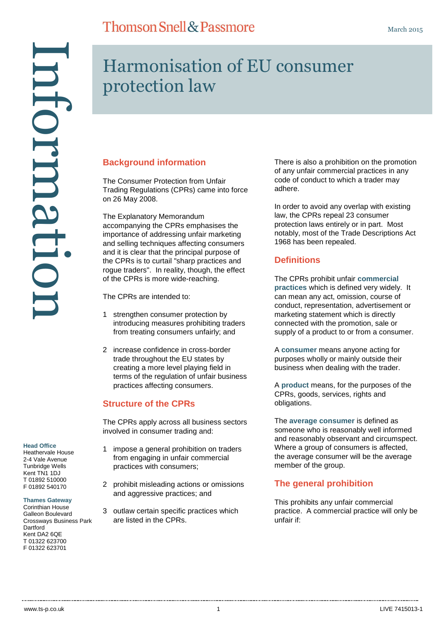# Harmonisation of EU consumer protection law

#### **Background information**

The Consumer Protection from Unfair Trading Regulations (CPRs) came into force on 26 May 2008.

The Explanatory Memorandum accompanying the CPRs emphasises the importance of addressing unfair marketing and selling techniques affecting consumers and it is clear that the principal purpose of the CPRs is to curtail "sharp practices and rogue traders". In reality, though, the effect of the CPRs is more wide-reaching.

The CPRs are intended to:

- 1 strengthen consumer protection by introducing measures prohibiting traders from treating consumers unfairly; and
- 2 increase confidence in cross-border trade throughout the EU states by creating a more level playing field in terms of the regulation of unfair business practices affecting consumers.

#### **Structure of the CPRs**

The CPRs apply across all business sectors involved in consumer trading and:

- 1 impose a general prohibition on traders from engaging in unfair commercial practices with consumers;
- 2 prohibit misleading actions or omissions and aggressive practices; and
- 3 outlaw certain specific practices which are listed in the CPRs.

There is also a prohibition on the promotion of any unfair commercial practices in any code of conduct to which a trader may adhere.

In order to avoid any overlap with existing law, the CPRs repeal 23 consumer protection laws entirely or in part. Most notably, most of the Trade Descriptions Act 1968 has been repealed.

#### **Definitions**

The CPRs prohibit unfair **commercial practices** which is defined very widely. It can mean any act, omission, course of conduct, representation, advertisement or marketing statement which is directly connected with the promotion, sale or supply of a product to or from a consumer.

A **consumer** means anyone acting for purposes wholly or mainly outside their business when dealing with the trader.

A **product** means, for the purposes of the CPRs, goods, services, rights and obligations.

The **average consumer** is defined as someone who is reasonably well informed and reasonably observant and circumspect. Where a group of consumers is affected, the average consumer will be the average member of the group.

#### **The general prohibition**

This prohibits any unfair commercial practice. A commercial practice will only be unfair if:

#### **Head Office**

Heathervale House 2-4 Vale Avenue Tunbridge Wells Kent TN1 1DJ T 01892 510000 F 01892 540170

Information

nammati

#### **Thames Gateway**

Corinthian House Galleon Boulevard Crossways Business Park **Dartford** Kent DA2 6QE T 01322 623700 F 01322 623701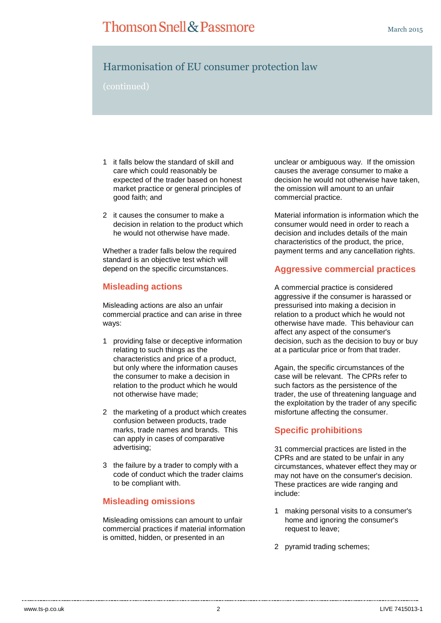## Harmonisation of EU consumer protection law

(continued)

- 1 it falls below the standard of skill and care which could reasonably be expected of the trader based on honest market practice or general principles of good faith; and
- 2 it causes the consumer to make a decision in relation to the product which he would not otherwise have made.

Whether a trader falls below the required standard is an objective test which will depend on the specific circumstances.

#### **Misleading actions**

Misleading actions are also an unfair commercial practice and can arise in three ways:

- 1 providing false or deceptive information relating to such things as the characteristics and price of a product, but only where the information causes the consumer to make a decision in relation to the product which he would not otherwise have made;
- 2 the marketing of a product which creates confusion between products, trade marks, trade names and brands. This can apply in cases of comparative advertising;
- 3 the failure by a trader to comply with a code of conduct which the trader claims to be compliant with.

#### **Misleading omissions**

Misleading omissions can amount to unfair commercial practices if material information is omitted, hidden, or presented in an

unclear or ambiguous way. If the omission causes the average consumer to make a decision he would not otherwise have taken, the omission will amount to an unfair commercial practice.

Material information is information which the consumer would need in order to reach a decision and includes details of the main characteristics of the product, the price, payment terms and any cancellation rights.

#### **Aggressive commercial practices**

A commercial practice is considered aggressive if the consumer is harassed or pressurised into making a decision in relation to a product which he would not otherwise have made. This behaviour can affect any aspect of the consumer's decision, such as the decision to buy or buy at a particular price or from that trader.

Again, the specific circumstances of the case will be relevant. The CPRs refer to such factors as the persistence of the trader, the use of threatening language and the exploitation by the trader of any specific misfortune affecting the consumer.

#### **Specific prohibitions**

31 commercial practices are listed in the CPRs and are stated to be unfair in any circumstances, whatever effect they may or may not have on the consumer's decision. These practices are wide ranging and include:

- 1 making personal visits to a consumer's home and ignoring the consumer's request to leave;
- 2 pyramid trading schemes;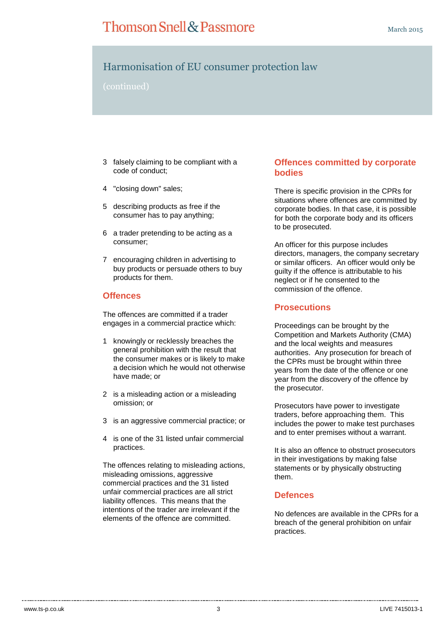## Harmonisation of EU consumer protection law

(continued)

- 3 falsely claiming to be compliant with a code of conduct;
- 4 "closing down" sales;
- 5 describing products as free if the consumer has to pay anything;
- 6 a trader pretending to be acting as a consumer;
- 7 encouraging children in advertising to buy products or persuade others to buy products for them.

#### **Offences**

The offences are committed if a trader engages in a commercial practice which:

- 1 knowingly or recklessly breaches the general prohibition with the result that the consumer makes or is likely to make a decision which he would not otherwise have made; or
- 2 is a misleading action or a misleading omission; or
- 3 is an aggressive commercial practice; or
- 4 is one of the 31 listed unfair commercial practices.

The offences relating to misleading actions, misleading omissions, aggressive commercial practices and the 31 listed unfair commercial practices are all strict liability offences. This means that the intentions of the trader are irrelevant if the elements of the offence are committed.

#### **Offences committed by corporate bodies**

There is specific provision in the CPRs for situations where offences are committed by corporate bodies. In that case, it is possible for both the corporate body and its officers to be prosecuted.

An officer for this purpose includes directors, managers, the company secretary or similar officers. An officer would only be guilty if the offence is attributable to his neglect or if he consented to the commission of the offence.

#### **Prosecutions**

Proceedings can be brought by the Competition and Markets Authority (CMA) and the local weights and measures authorities. Any prosecution for breach of the CPRs must be brought within three years from the date of the offence or one year from the discovery of the offence by the prosecutor.

Prosecutors have power to investigate traders, before approaching them. This includes the power to make test purchases and to enter premises without a warrant.

It is also an offence to obstruct prosecutors in their investigations by making false statements or by physically obstructing them.

#### **Defences**

No defences are available in the CPRs for a breach of the general prohibition on unfair practices.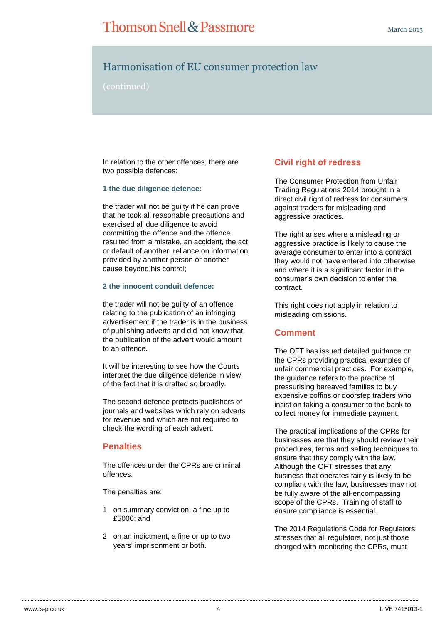## Thomson Snell & Passmore

## Harmonisation of EU consumer protection law

(continued)

In relation to the other offences, there are two possible defences:

#### **1 the due diligence defence:**

the trader will not be guilty if he can prove that he took all reasonable precautions and exercised all due diligence to avoid committing the offence and the offence resulted from a mistake, an accident, the act or default of another, reliance on information provided by another person or another cause beyond his control;

#### **2 the innocent conduit defence:**

the trader will not be guilty of an offence relating to the publication of an infringing advertisement if the trader is in the business of publishing adverts and did not know that the publication of the advert would amount to an offence.

It will be interesting to see how the Courts interpret the due diligence defence in view of the fact that it is drafted so broadly.

The second defence protects publishers of journals and websites which rely on adverts for revenue and which are not required to check the wording of each advert.

#### **Penalties**

The offences under the CPRs are criminal offences.

The penalties are:

- 1 on summary conviction, a fine up to £5000; and
- 2 on an indictment, a fine or up to two years' imprisonment or both.

### **Civil right of redress**

The Consumer Protection from Unfair Trading Regulations 2014 brought in a direct civil right of redress for consumers against traders for misleading and aggressive practices.

The right arises where a misleading or aggressive practice is likely to cause the average consumer to enter into a contract they would not have entered into otherwise and where it is a significant factor in the consumer's own decision to enter the contract.

This right does not apply in relation to misleading omissions.

#### **Comment**

The OFT has issued detailed guidance on the CPRs providing practical examples of unfair commercial practices. For example, the guidance refers to the practice of pressurising bereaved families to buy expensive coffins or doorstep traders who insist on taking a consumer to the bank to collect money for immediate payment.

The practical implications of the CPRs for businesses are that they should review their procedures, terms and selling techniques to ensure that they comply with the law. Although the OFT stresses that any business that operates fairly is likely to be compliant with the law, businesses may not be fully aware of the all-encompassing scope of the CPRs. Training of staff to ensure compliance is essential.

The 2014 Regulations Code for Regulators stresses that all regulators, not just those charged with monitoring the CPRs, must